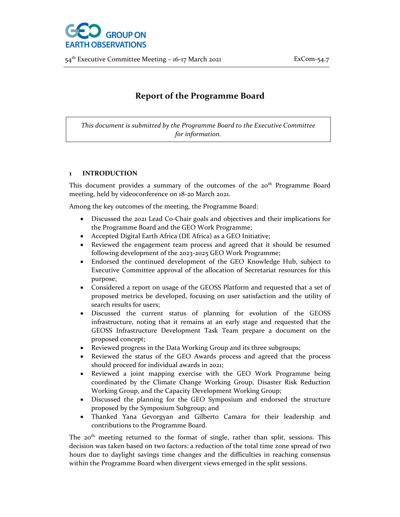

54<sup>th</sup> Executive Committee Meeting – 16-17 March 2021 **ExCom**-54.7

# **Report of the Programme Board**

*This document is submitted by the Programme Board to the Executive Committee for information.*

### **1 INTRODUCTION**

This document provides a summary of the outcomes of the 20<sup>th</sup> Programme Board meeting, held by videoconference on 18‐20 March 2021.

Among the key outcomes of the meeting, the Programme Board:

- Discussed the 2021 Lead Co‐Chair goals and objectives and their implications for the Programme Board and the GEO Work Programme;
- Accepted Digital Earth Africa (DE Africa) as a GEO Initiative;
- Reviewed the engagement team process and agreed that it should be resumed following development of the 2023‐2025 GEO Work Programme;
- Endorsed the continued development of the GEO Knowledge Hub, subject to Executive Committee approval of the allocation of Secretariat resources for this purpose;
- Considered a report on usage of the GEOSS Platform and requested that a set of proposed metrics be developed, focusing on user satisfaction and the utility of search results for users;
- Discussed the current status of planning for evolution of the GEOSS infrastructure, noting that it remains at an early stage and requested that the GEOSS Infrastructure Development Task Team prepare a document on the proposed concept;
- Reviewed progress in the Data Working Group and its three subgroups;
- Reviewed the status of the GEO Awards process and agreed that the process should proceed for individual awards in 2021;
- Reviewed a joint mapping exercise with the GEO Work Programme being coordinated by the Climate Change Working Group, Disaster Risk Reduction Working Group, and the Capacity Development Working Group;
- Discussed the planning for the GEO Symposium and endorsed the structure proposed by the Symposium Subgroup; and
- Thanked Yana Gevorgyan and Gilberto Camara for their leadership and contributions to the Programme Board.

The 20<sup>th</sup> meeting returned to the format of single, rather than split, sessions. This decision was taken based on two factors: a reduction of the total time zone spread of two hours due to daylight savings time changes and the difficulties in reaching consensus within the Programme Board when divergent views emerged in the split sessions.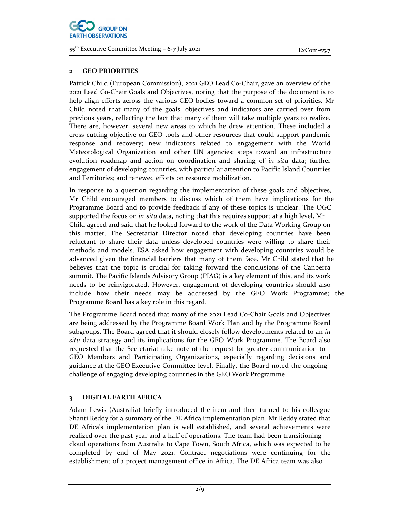

## **2 GEO PRIORITIES**

Patrick Child (European Commission), 2021 GEO Lead Co‐Chair, gave an overview of the 2021 Lead Co‐Chair Goals and Objectives, noting that the purpose of the document is to help align efforts across the various GEO bodies toward a common set of priorities. Mr Child noted that many of the goals, objectives and indicators are carried over from previous years, reflecting the fact that many of them will take multiple years to realize. There are, however, several new areas to which he drew attention. These included a cross‐cutting objective on GEO tools and other resources that could support pandemic response and recovery; new indicators related to engagement with the World Meteorological Organization and other UN agencies; steps toward an infrastructure evolution roadmap and action on coordination and sharing of *in situ* data; further engagement of developing countries, with particular attention to Pacific Island Countries and Territories; and renewed efforts on resource mobilization.

In response to a question regarding the implementation of these goals and objectives, Mr Child encouraged members to discuss which of them have implications for the Programme Board and to provide feedback if any of these topics is unclear. The OGC supported the focus on *in situ* data, noting that this requires support at a high level. Mr Child agreed and said that he looked forward to the work of the Data Working Group on this matter. The Secretariat Director noted that developing countries have been reluctant to share their data unless developed countries were willing to share their methods and models. ESA asked how engagement with developing countries would be advanced given the financial barriers that many of them face. Mr Child stated that he believes that the topic is crucial for taking forward the conclusions of the Canberra summit. The Pacific Islands Advisory Group (PIAG) is a key element of this, and its work needs to be reinvigorated. However, engagement of developing countries should also include how their needs may be addressed by the GEO Work Programme; the Programme Board has a key role in this regard.

The Programme Board noted that many of the 2021 Lead Co‐Chair Goals and Objectives are being addressed by the Programme Board Work Plan and by the Programme Board subgroups. The Board agreed that it should closely follow developments related to an *in situ* data strategy and its implications for the GEO Work Programme. The Board also requested that the Secretariat take note of the request for greater communication to GEO Members and Participating Organizations, especially regarding decisions and guidance at the GEO Executive Committee level. Finally, the Board noted the ongoing challenge of engaging developing countries in the GEO Work Programme.

# **3 DIGITAL EARTH AFRICA**

Adam Lewis (Australia) briefly introduced the item and then turned to his colleague Shanti Reddy for a summary of the DE Africa implementation plan. Mr Reddy stated that DE Africa's implementation plan is well established, and several achievements were realized over the past year and a half of operations. The team had been transitioning cloud operations from Australia to Cape Town, South Africa, which was expected to be completed by end of May 2021. Contract negotiations were continuing for the establishment of a project management office in Africa. The DE Africa team was also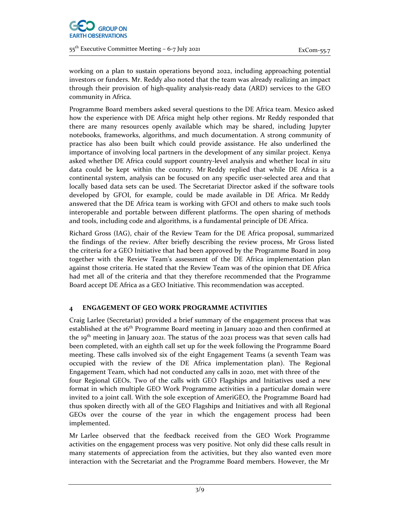

working on a plan to sustain operations beyond 2022, including approaching potential investors or funders. Mr. Reddy also noted that the team was already realizing an impact through their provision of high‐quality analysis‐ready data (ARD) services to the GEO community in Africa.

Programme Board members asked several questions to the DE Africa team. Mexico asked how the experience with DE Africa might help other regions. Mr Reddy responded that there are many resources openly available which may be shared, including Jupyter notebooks, frameworks, algorithms, and much documentation. A strong community of practice has also been built which could provide assistance. He also underlined the importance of involving local partners in the development of any similar project. Kenya asked whether DE Africa could support country‐level analysis and whether local *in situ* data could be kept within the country. Mr Reddy replied that while DE Africa is a continental system, analysis can be focused on any specific user‐selected area and that locally based data sets can be used. The Secretariat Director asked if the software tools developed by GFOI, for example, could be made available in DE Africa. Mr Reddy answered that the DE Africa team is working with GFOI and others to make such tools interoperable and portable between different platforms. The open sharing of methods and tools, including code and algorithms, is a fundamental principle of DE Africa.

Richard Gross (IAG), chair of the Review Team for the DE Africa proposal, summarized the findings of the review. After briefly describing the review process, Mr Gross listed the criteria for a GEO Initiative that had been approved by the Programme Board in 2019 together with the Review Team's assessment of the DE Africa implementation plan against those criteria. He stated that the Review Team was of the opinion that DE Africa had met all of the criteria and that they therefore recommended that the Programme Board accept DE Africa as a GEO Initiative. This recommendation was accepted.

## **4 ENGAGEMENT OF GEO WORK PROGRAMME ACTIVITIES**

Craig Larlee (Secretariat) provided a brief summary of the engagement process that was established at the 16<sup>th</sup> Programme Board meeting in January 2020 and then confirmed at the 19<sup>th</sup> meeting in January 2021. The status of the 2021 process was that seven calls had been completed, with an eighth call set up for the week following the Programme Board meeting. These calls involved six of the eight Engagement Teams (a seventh Team was occupied with the review of the DE Africa implementation plan). The Regional Engagement Team, which had not conducted any calls in 2020, met with three of the four Regional GEOs. Two of the calls with GEO Flagships and Initiatives used a new format in which multiple GEO Work Programme activities in a particular domain were invited to a joint call. With the sole exception of AmeriGEO, the Programme Board had thus spoken directly with all of the GEO Flagships and Initiatives and with all Regional GEOs over the course of the year in which the engagement process had been implemented.

Mr Larlee observed that the feedback received from the GEO Work Programme activities on the engagement process was very positive. Not only did these calls result in many statements of appreciation from the activities, but they also wanted even more interaction with the Secretariat and the Programme Board members. However, the Mr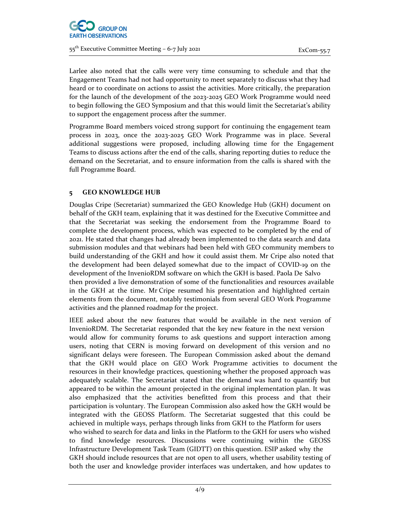

Larlee also noted that the calls were very time consuming to schedule and that the Engagement Teams had not had opportunity to meet separately to discuss what they had heard or to coordinate on actions to assist the activities. More critically, the preparation for the launch of the development of the 2023-2025 GEO Work Programme would need to begin following the GEO Symposium and that this would limit the Secretariat's ability to support the engagement process after the summer.

Programme Board members voiced strong support for continuing the engagement team process in 2023, once the 2023‐2025 GEO Work Programme was in place. Several additional suggestions were proposed, including allowing time for the Engagement Teams to discuss actions after the end of the calls, sharing reporting duties to reduce the demand on the Secretariat, and to ensure information from the calls is shared with the full Programme Board.

# **5 GEO KNOWLEDGE HUB**

Douglas Cripe (Secretariat) summarized the GEO Knowledge Hub (GKH) document on behalf of the GKH team, explaining that it was destined for the Executive Committee and that the Secretariat was seeking the endorsement from the Programme Board to complete the development process, which was expected to be completed by the end of 2021. He stated that changes had already been implemented to the data search and data submission modules and that webinars had been held with GEO community members to build understanding of the GKH and how it could assist them. Mr Cripe also noted that the development had been delayed somewhat due to the impact of COVID‐19 on the development of the InvenioRDM software on which the GKH is based. Paola De Salvo then provided a live demonstration of some of the functionalities and resources available in the GKH at the time. Mr Cripe resumed his presentation and highlighted certain elements from the document, notably testimonials from several GEO Work Programme activities and the planned roadmap for the project.

IEEE asked about the new features that would be available in the next version of InvenioRDM. The Secretariat responded that the key new feature in the next version would allow for community forums to ask questions and support interaction among users, noting that CERN is moving forward on development of this version and no significant delays were foreseen. The European Commission asked about the demand that the GKH would place on GEO Work Programme activities to document the resources in their knowledge practices, questioning whether the proposed approach was adequately scalable. The Secretariat stated that the demand was hard to quantify but appeared to be within the amount projected in the original implementation plan. It was also emphasized that the activities benefitted from this process and that their participation is voluntary. The European Commission also asked how the GKH would be integrated with the GEOSS Platform. The Secretariat suggested that this could be achieved in multiple ways, perhaps through links from GKH to the Platform for users who wished to search for data and links in the Platform to the GKH for users who wished to find knowledge resources. Discussions were continuing within the GEOSS Infrastructure Development Task Team (GIDTT) on this question. ESIP asked why the GKH should include resources that are not open to all users, whether usability testing of both the user and knowledge provider interfaces was undertaken, and how updates to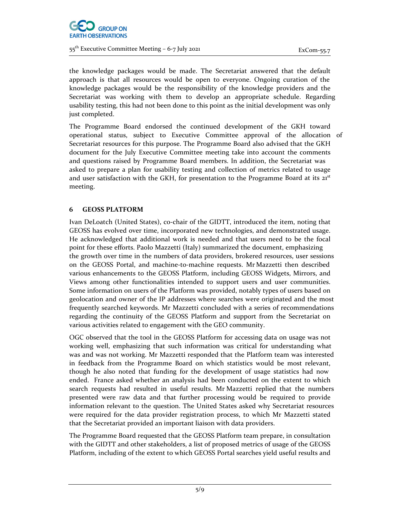

the knowledge packages would be made. The Secretariat answered that the default approach is that all resources would be open to everyone. Ongoing curation of the knowledge packages would be the responsibility of the knowledge providers and the Secretariat was working with them to develop an appropriate schedule. Regarding usability testing, this had not been done to this point as the initial development was only just completed.

The Programme Board endorsed the continued development of the GKH toward operational status, subject to Executive Committee approval of the allocation of Secretariat resources for this purpose. The Programme Board also advised that the GKH document for the July Executive Committee meeting take into account the comments and questions raised by Programme Board members. In addition, the Secretariat was asked to prepare a plan for usability testing and collection of metrics related to usage and user satisfaction with the GKH, for presentation to the Programme Board at its  $21<sup>st</sup>$ meeting.

# **6 GEOSS PLATFORM**

Ivan DeLoatch (United States), co-chair of the GIDTT, introduced the item, noting that GEOSS has evolved over time, incorporated new technologies, and demonstrated usage. He acknowledged that additional work is needed and that users need to be the focal point for these efforts. Paolo Mazzetti (Italy) summarized the document, emphasizing the growth over time in the numbers of data providers, brokered resources, user sessions on the GEOSS Portal, and machine‐to‐machine requests. Mr Mazzetti then described various enhancements to the GEOSS Platform, including GEOSS Widgets, Mirrors, and Views among other functionalities intended to support users and user communities. Some information on users of the Platform was provided, notably types of users based on geolocation and owner of the IP addresses where searches were originated and the most frequently searched keywords. Mr Mazzetti concluded with a series of recommendations regarding the continuity of the GEOSS Platform and support from the Secretariat on various activities related to engagement with the GEO community.

OGC observed that the tool in the GEOSS Platform for accessing data on usage was not working well, emphasizing that such information was critical for understanding what was and was not working. Mr Mazzetti responded that the Platform team was interested in feedback from the Programme Board on which statistics would be most relevant, though he also noted that funding for the development of usage statistics had now ended. France asked whether an analysis had been conducted on the extent to which search requests had resulted in useful results. Mr Mazzetti replied that the numbers presented were raw data and that further processing would be required to provide information relevant to the question. The United States asked why Secretariat resources were required for the data provider registration process, to which Mr Mazzetti stated that the Secretariat provided an important liaison with data providers.

The Programme Board requested that the GEOSS Platform team prepare, in consultation with the GIDTT and other stakeholders, a list of proposed metrics of usage of the GEOSS Platform, including of the extent to which GEOSS Portal searches yield useful results and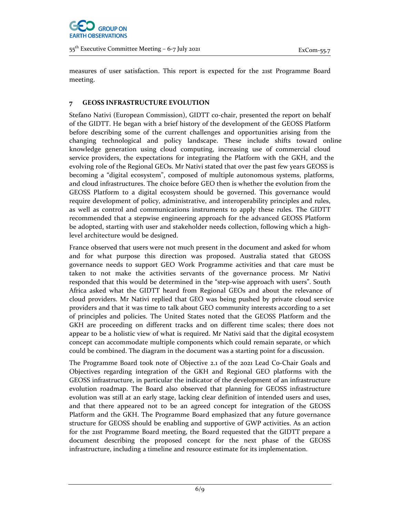

measures of user satisfaction. This report is expected for the 21st Programme Board meeting.

## **7 GEOSS INFRASTRUCTURE EVOLUTION**

Stefano Nativi (European Commission), GIDTT co-chair, presented the report on behalf of the GIDTT. He began with a brief history of the development of the GEOSS Platform before describing some of the current challenges and opportunities arising from the changing technological and policy landscape. These include shifts toward online knowledge generation using cloud computing, increasing use of commercial cloud service providers, the expectations for integrating the Platform with the GKH, and the evolving role of the Regional GEOs. Mr Nativi stated that over the past few years GEOSS is becoming a "digital ecosystem", composed of multiple autonomous systems, platforms, and cloud infrastructures. The choice before GEO then is whether the evolution from the GEOSS Platform to a digital ecosystem should be governed. This governance would require development of policy, administrative, and interoperability principles and rules, as well as control and communications instruments to apply these rules. The GIDTT recommended that a stepwise engineering approach for the advanced GEOSS Platform be adopted, starting with user and stakeholder needs collection, following which a highlevel architecture would be designed.

France observed that users were not much present in the document and asked for whom and for what purpose this direction was proposed. Australia stated that GEOSS governance needs to support GEO Work Programme activities and that care must be taken to not make the activities servants of the governance process. Mr Nativi responded that this would be determined in the "step‐wise approach with users". South Africa asked what the GIDTT heard from Regional GEOs and about the relevance of cloud providers. Mr Nativi replied that GEO was being pushed by private cloud service providers and that it was time to talk about GEO community interests according to a set of principles and policies. The United States noted that the GEOSS Platform and the GKH are proceeding on different tracks and on different time scales; there does not appear to be a holistic view of what is required. Mr Nativi said that the digital ecosystem concept can accommodate multiple components which could remain separate, or which could be combined. The diagram in the document was a starting point for a discussion.

The Programme Board took note of Objective 2.1 of the 2021 Lead Co‐Chair Goals and Objectives regarding integration of the GKH and Regional GEO platforms with the GEOSS infrastructure, in particular the indicator of the development of an infrastructure evolution roadmap. The Board also observed that planning for GEOSS infrastructure evolution was still at an early stage, lacking clear definition of intended users and uses, and that there appeared not to be an agreed concept for integration of the GEOSS Platform and the GKH. The Programme Board emphasized that any future governance structure for GEOSS should be enabling and supportive of GWP activities. As an action for the 21st Programme Board meeting, the Board requested that the GIDTT prepare a document describing the proposed concept for the next phase of the GEOSS infrastructure, including a timeline and resource estimate for its implementation.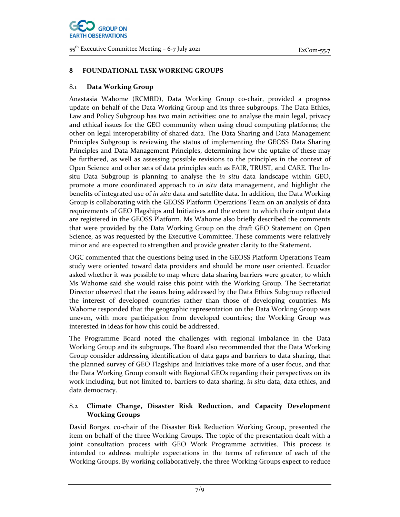

## **8 FOUNDATIONAL TASK WORKING GROUPS**

### 8.1 **Data Working Group**

Anastasia Wahome (RCMRD), Data Working Group co‐chair, provided a progress update on behalf of the Data Working Group and its three subgroups. The Data Ethics, Law and Policy Subgroup has two main activities: one to analyse the main legal, privacy and ethical issues for the GEO community when using cloud computing platforms; the other on legal interoperability of shared data. The Data Sharing and Data Management Principles Subgroup is reviewing the status of implementing the GEOSS Data Sharing Principles and Data Management Principles, determining how the uptake of these may be furthered, as well as assessing possible revisions to the principles in the context of Open Science and other sets of data principles such as FAIR, TRUST, and CARE. The In‐ situ Data Subgroup is planning to analyse the *in situ* data landscape within GEO, promote a more coordinated approach to *in situ* data management, and highlight the benefits of integrated use of *in situ* data and satellite data. In addition, the Data Working Group is collaborating with the GEOSS Platform Operations Team on an analysis of data requirements of GEO Flagships and Initiatives and the extent to which their output data are registered in the GEOSS Platform. Ms Wahome also briefly described the comments that were provided by the Data Working Group on the draft GEO Statement on Open Science, as was requested by the Executive Committee. These comments were relatively minor and are expected to strengthen and provide greater clarity to the Statement.

OGC commented that the questions being used in the GEOSS Platform Operations Team study were oriented toward data providers and should be more user oriented. Ecuador asked whether it was possible to map where data sharing barriers were greater, to which Ms Wahome said she would raise this point with the Working Group. The Secretariat Director observed that the issues being addressed by the Data Ethics Subgroup reflected the interest of developed countries rather than those of developing countries. Ms Wahome responded that the geographic representation on the Data Working Group was uneven, with more participation from developed countries; the Working Group was interested in ideas for how this could be addressed.

The Programme Board noted the challenges with regional imbalance in the Data Working Group and its subgroups. The Board also recommended that the Data Working Group consider addressing identification of data gaps and barriers to data sharing, that the planned survey of GEO Flagships and Initiatives take more of a user focus, and that the Data Working Group consult with Regional GEOs regarding their perspectives on its work including, but not limited to, barriers to data sharing, *in situ* data, data ethics, and data democracy.

# 8.2 **Climate Change, Disaster Risk Reduction, and Capacity Development Working Groups**

David Borges, co‐chair of the Disaster Risk Reduction Working Group, presented the item on behalf of the three Working Groups. The topic of the presentation dealt with a joint consultation process with GEO Work Programme activities. This process is intended to address multiple expectations in the terms of reference of each of the Working Groups. By working collaboratively, the three Working Groups expect to reduce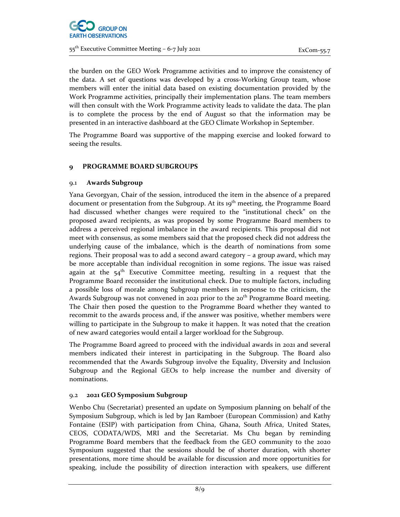

the burden on the GEO Work Programme activities and to improve the consistency of the data. A set of questions was developed by a cross‐Working Group team, whose members will enter the initial data based on existing documentation provided by the Work Programme activities, principally their implementation plans. The team members will then consult with the Work Programme activity leads to validate the data. The plan is to complete the process by the end of August so that the information may be presented in an interactive dashboard at the GEO Climate Workshop in September.

The Programme Board was supportive of the mapping exercise and looked forward to seeing the results.

## **9 PROGRAMME BOARD SUBGROUPS**

## 9.1 **Awards Subgroup**

Yana Gevorgyan, Chair of the session, introduced the item in the absence of a prepared document or presentation from the Subgroup. At its 19<sup>th</sup> meeting, the Programme Board had discussed whether changes were required to the "institutional check" on the proposed award recipients, as was proposed by some Programme Board members to address a perceived regional imbalance in the award recipients. This proposal did not meet with consensus, as some members said that the proposed check did not address the underlying cause of the imbalance, which is the dearth of nominations from some regions. Their proposal was to add a second award category – a group award, which may be more acceptable than individual recognition in some regions. The issue was raised again at the  $54<sup>th</sup>$  Executive Committee meeting, resulting in a request that the Programme Board reconsider the institutional check. Due to multiple factors, including a possible loss of morale among Subgroup members in response to the criticism, the Awards Subgroup was not convened in 2021 prior to the  $20<sup>th</sup>$  Programme Board meeting. The Chair then posed the question to the Programme Board whether they wanted to recommit to the awards process and, if the answer was positive, whether members were willing to participate in the Subgroup to make it happen. It was noted that the creation of new award categories would entail a larger workload for the Subgroup.

The Programme Board agreed to proceed with the individual awards in 2021 and several members indicated their interest in participating in the Subgroup. The Board also recommended that the Awards Subgroup involve the Equality, Diversity and Inclusion Subgroup and the Regional GEOs to help increase the number and diversity of nominations.

## 9.2 **2021 GEO Symposium Subgroup**

Wenbo Chu (Secretariat) presented an update on Symposium planning on behalf of the Symposium Subgroup, which is led by Jan Ramboer (European Commission) and Kathy Fontaine (ESIP) with participation from China, Ghana, South Africa, United States, CEOS, CODATA/WDS, MRI and the Secretariat. Ms Chu began by reminding Programme Board members that the feedback from the GEO community to the 2020 Symposium suggested that the sessions should be of shorter duration, with shorter presentations, more time should be available for discussion and more opportunities for speaking, include the possibility of direction interaction with speakers, use different